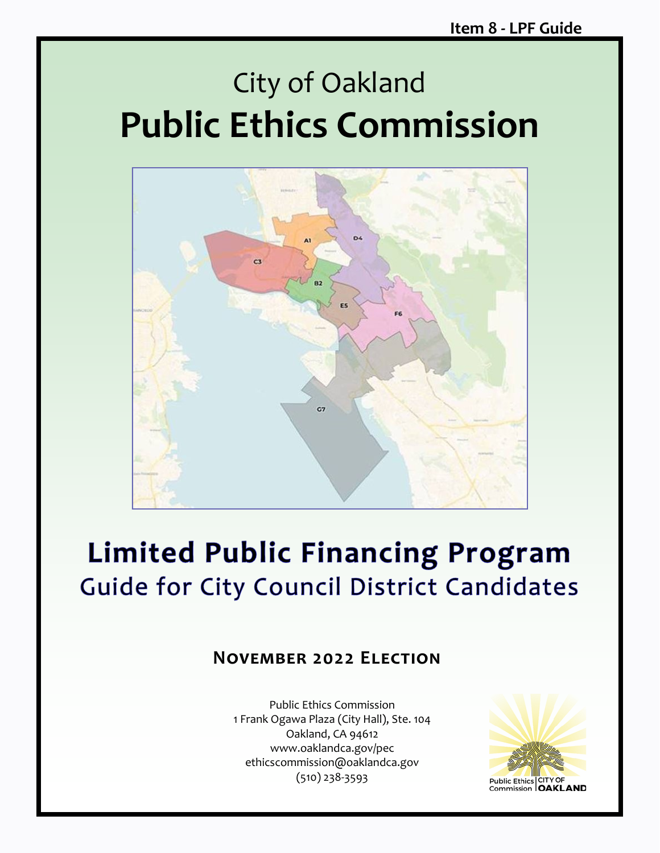# City of Oakland **Public Ethics Commission**



# **Limited Public Financing Program** Guide for City Council District Candidates

### **November 2022 Election**

Public Ethics Commission 1 Frank Ogawa Plaza (City Hall), Ste. 104 Oakland, CA 94612 www.oaklandca.gov/pec ethicscommission@oaklandca.gov (510) 238-3593

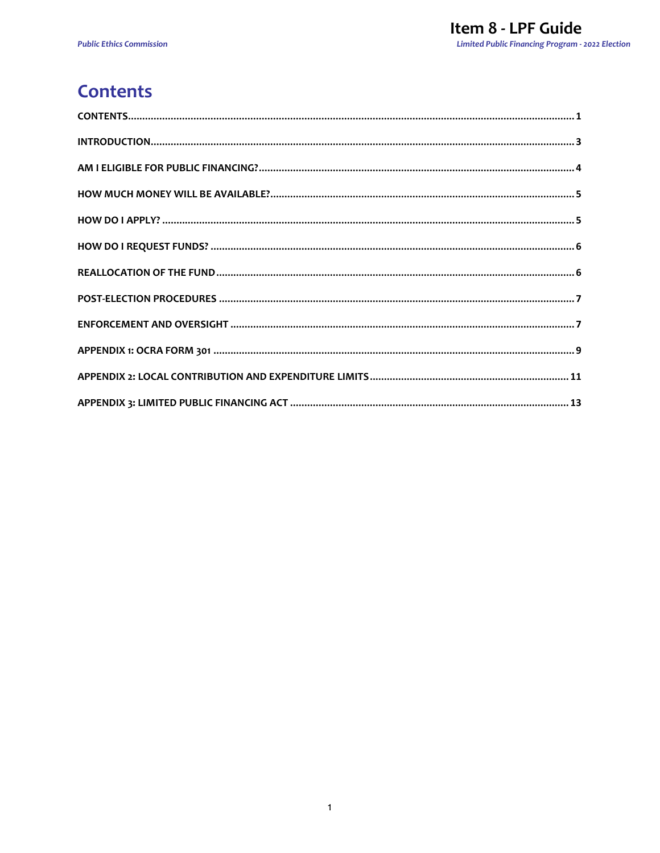# <span id="page-1-0"></span>**Contents**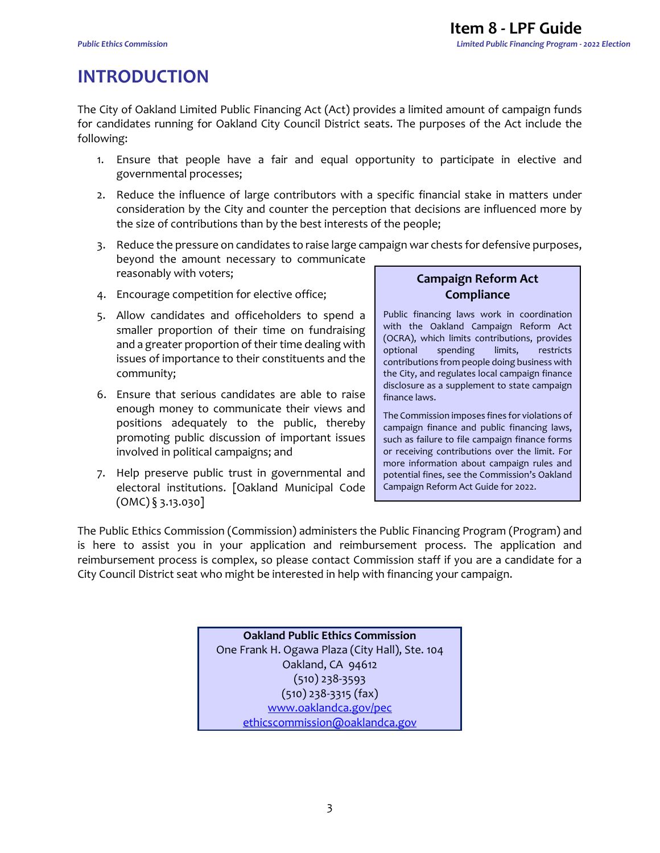# <span id="page-3-0"></span>**INTRODUCTION**

The City of Oakland Limited Public Financing Act (Act) provides a limited amount of campaign funds for candidates running for Oakland City Council District seats. The purposes of the Act include the following:

- 1. Ensure that people have a fair and equal opportunity to participate in elective and governmental processes;
- 2. Reduce the influence of large contributors with a specific financial stake in matters under consideration by the City and counter the perception that decisions are influenced more by the size of contributions than by the best interests of the people;
- 3. Reduce the pressure on candidates to raise large campaign war chests for defensive purposes, beyond the amount necessary to communicate reasonably with voters;
- 4. Encourage competition for elective office;
- 5. Allow candidates and officeholders to spend a smaller proportion of their time on fundraising and a greater proportion of their time dealing with issues of importance to their constituents and the community;
- 6. Ensure that serious candidates are able to raise enough money to communicate their views and positions adequately to the public, thereby promoting public discussion of important issues involved in political campaigns; and
- 7. Help preserve public trust in governmental and electoral institutions. [Oakland Municipal Code  $(OMC)$   $\S$  3.13.030]

### **Campaign Reform Act Compliance**

Public financing laws work in coordination with the Oakland Campaign Reform Act (OCRA), which limits contributions, provides optional spending limits, restricts contributions from people doing business with the City, and regulates local campaign finance disclosure as a supplement to state campaign finance laws.

The Commission imposes fines for violations of campaign finance and public financing laws, such as failure to file campaign finance forms or receiving contributions over the limit. For more information about campaign rules and potential fines, see the Commission's Oakland Campaign Reform Act Guide for 2022.

The Public Ethics Commission (Commission) administers the Public Financing Program (Program) and is here to assist you in your application and reimbursement process. The application and reimbursement process is complex, so please contact Commission staff if you are a candidate for a City Council District seat who might be interested in help with financing your campaign.

> **Oakland Public Ethics Commission** One Frank H. Ogawa Plaza (City Hall), Ste. 104 Oakland, CA 94612 (510) 238-3593 (510) 238-3315 (fax) [www.oaklandca.gov/pec](http://www.oaklandca.gov/pec) [ethicscommission@oaklandca.gov](mailto:ethicscommission@oaklandnet.com)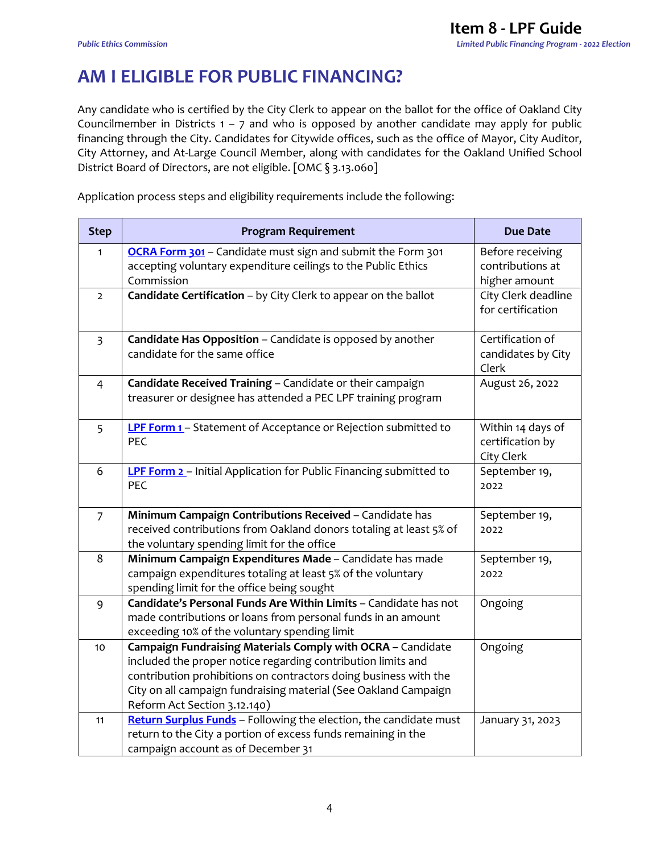# <span id="page-4-0"></span>**AM I ELIGIBLE FOR PUBLIC FINANCING?**

Any candidate who is certified by the City Clerk to appear on the ballot for the office of Oakland City Councilmember in Districts  $1 - 7$  and who is opposed by another candidate may apply for public financing through the City. Candidates for Citywide offices, such as the office of Mayor, City Auditor, City Attorney, and At-Large Council Member, along with candidates for the Oakland Unified School District Board of Directors, are not eligible. [OMC § 3.13.060]

Application process steps and eligibility requirements include the following:

| <b>Step</b>    | <b>Program Requirement</b>                                                                                                          | <b>Due Date</b>     |
|----------------|-------------------------------------------------------------------------------------------------------------------------------------|---------------------|
| $\mathbf{1}$   | OCRA Form 301 - Candidate must sign and submit the Form 301                                                                         | Before receiving    |
|                | accepting voluntary expenditure ceilings to the Public Ethics                                                                       | contributions at    |
|                | Commission                                                                                                                          | higher amount       |
| $\overline{2}$ | Candidate Certification - by City Clerk to appear on the ballot                                                                     | City Clerk deadline |
|                |                                                                                                                                     | for certification   |
| $\overline{3}$ | Candidate Has Opposition - Candidate is opposed by another                                                                          | Certification of    |
|                | candidate for the same office                                                                                                       | candidates by City  |
|                |                                                                                                                                     | Clerk               |
| $\overline{4}$ | Candidate Received Training - Candidate or their campaign                                                                           | August 26, 2022     |
|                | treasurer or designee has attended a PEC LPF training program                                                                       |                     |
| 5              | LPF Form 1- Statement of Acceptance or Rejection submitted to                                                                       | Within 14 days of   |
|                | PEC                                                                                                                                 | certification by    |
|                |                                                                                                                                     | City Clerk          |
| 6              | <b>LPF Form 2</b> - Initial Application for Public Financing submitted to                                                           | September 19,       |
|                | PEC                                                                                                                                 | 2022                |
|                |                                                                                                                                     |                     |
| $\overline{7}$ | Minimum Campaign Contributions Received - Candidate has                                                                             | September 19,       |
|                | received contributions from Oakland donors totaling at least 5% of                                                                  | 2022                |
|                | the voluntary spending limit for the office                                                                                         |                     |
| 8              | Minimum Campaign Expenditures Made - Candidate has made                                                                             | September 19,       |
|                | campaign expenditures totaling at least 5% of the voluntary                                                                         | 2022                |
|                | spending limit for the office being sought                                                                                          |                     |
| 9              | Candidate's Personal Funds Are Within Limits - Candidate has not                                                                    | Ongoing             |
|                | made contributions or loans from personal funds in an amount                                                                        |                     |
|                | exceeding 10% of the voluntary spending limit                                                                                       |                     |
| 10             | Campaign Fundraising Materials Comply with OCRA - Candidate                                                                         | Ongoing             |
|                | included the proper notice regarding contribution limits and                                                                        |                     |
|                | contribution prohibitions on contractors doing business with the<br>City on all campaign fundraising material (See Oakland Campaign |                     |
|                | Reform Act Section 3.12.140)                                                                                                        |                     |
| 11             | Return Surplus Funds - Following the election, the candidate must                                                                   |                     |
|                | return to the City a portion of excess funds remaining in the                                                                       | January 31, 2023    |
|                | campaign account as of December 31                                                                                                  |                     |
|                |                                                                                                                                     |                     |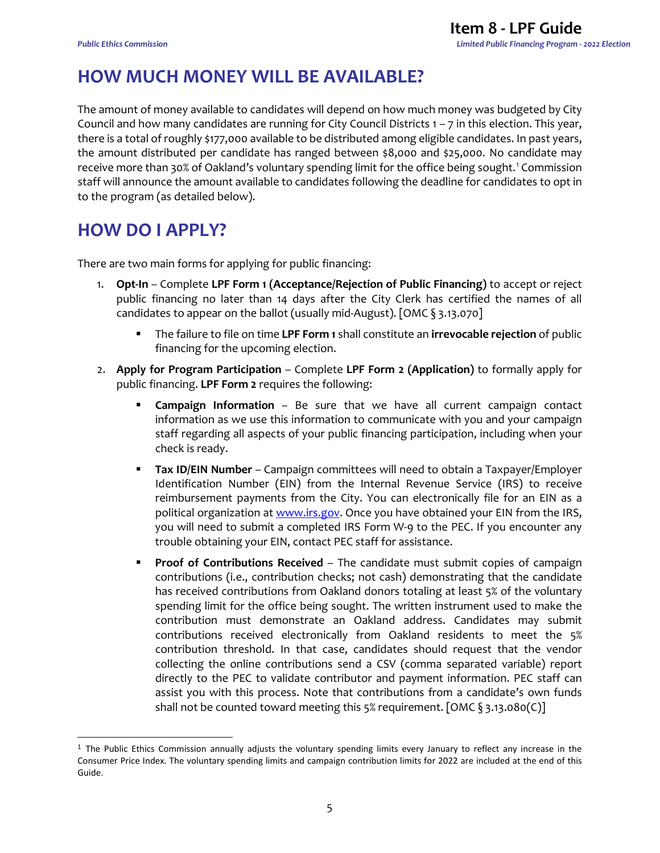# <span id="page-5-0"></span>**HOW MUCH MONEY WILL BE AVAILABLE?**

The amount of money available to candidates will depend on how much money was budgeted by City Council and how many candidates are running for City Council Districts 1 – 7 in this election. This year, there is a total of roughly \$177,000 available to be distributed among eligible candidates. In past years, the amount distributed per candidate has ranged between \$8,000 and \$25,000. No candidate may receive more than 30% of Oakland's voluntary spending limit for the office being sought. [1](#page-5-2) Commission staff will announce the amount available to candidates following the deadline for candidates to opt in to the program (as detailed below).

### <span id="page-5-1"></span>**HOW DO I APPLY?**

There are two main forms for applying for public financing:

- 1. **Opt-In** Complete **LPF Form 1 (Acceptance/Rejection of Public Financing)** to accept or reject public financing no later than 14 days after the City Clerk has certified the names of all candidates to appear on the ballot (usually mid-August). [OMC § 3.13.070]
	- The failure to file on time **LPF Form 1** shall constitute an **irrevocable rejection** of public financing for the upcoming election.
- 2. **Apply for Program Participation** Complete **LPF Form 2 (Application)** to formally apply for public financing. **LPF Form 2** requires the following:
	- **Campaign Information** Be sure that we have all current campaign contact information as we use this information to communicate with you and your campaign staff regarding all aspects of your public financing participation, including when your check is ready.
	- **Tax ID/EIN Number** Campaign committees will need to obtain a Taxpayer/Employer Identification Number (EIN) from the Internal Revenue Service (IRS) to receive reimbursement payments from the City. You can electronically file for an EIN as a political organization at [www.irs.gov.](http://www.irs.gov/) Once you have obtained your EIN from the IRS, you will need to submit a completed IRS Form W-9 to the PEC. If you encounter any trouble obtaining your EIN, contact PEC staff for assistance.
	- **Proof of Contributions Received** The candidate must submit copies of campaign contributions (i.e., contribution checks; not cash) demonstrating that the candidate has received contributions from Oakland donors totaling at least 5% of the voluntary spending limit for the office being sought. The written instrument used to make the contribution must demonstrate an Oakland address. Candidates may submit contributions received electronically from Oakland residents to meet the 5% contribution threshold. In that case, candidates should request that the vendor collecting the online contributions send a CSV (comma separated variable) report directly to the PEC to validate contributor and payment information. PEC staff can assist you with this process. Note that contributions from a candidate's own funds shall not be counted toward meeting this 5% requirement. [OMC § 3.13.080(C)]

<span id="page-5-2"></span> $\overline{a}$  $<sup>1</sup>$  The Public Ethics Commission annually adjusts the voluntary spending limits every January to reflect any increase in the</sup> Consumer Price Index. The voluntary spending limits and campaign contribution limits for 2022 are included at the end of this Guide.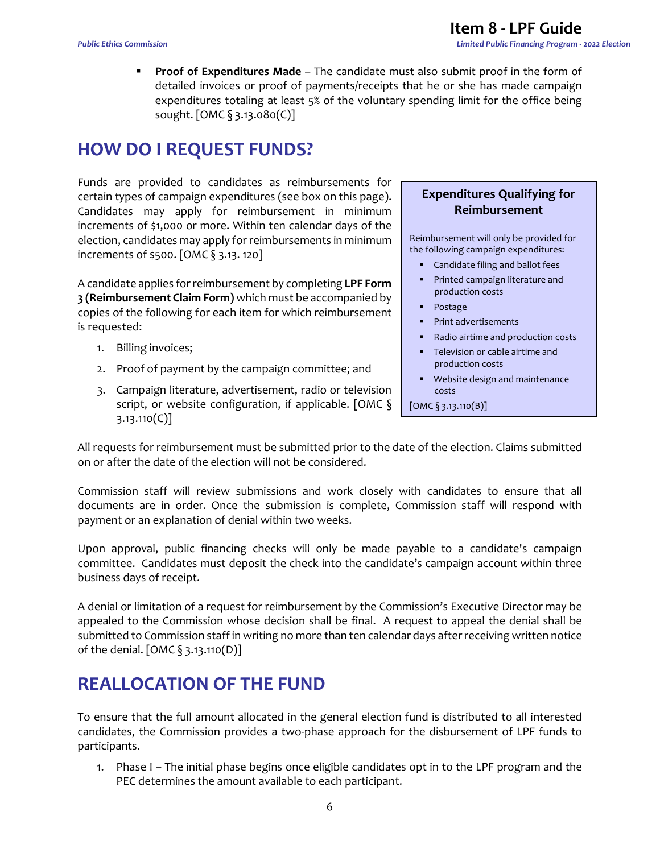**Proof of Expenditures Made** – The candidate must also submit proof in the form of detailed invoices or proof of payments/receipts that he or she has made campaign expenditures totaling at least 5% of the voluntary spending limit for the office being sought. [OMC § 3.13.080(C)]

### <span id="page-6-0"></span>**HOW DO I REQUEST FUNDS?**

Funds are provided to candidates as reimbursements for certain types of campaign expenditures (see box on this page). Candidates may apply for reimbursement in minimum increments of \$1,000 or more. Within ten calendar days of the election, candidates may apply for reimbursements in minimum increments of \$500. [OMC § 3.13. 120]

A candidate applies for reimbursement by completing **LPF Form 3 (Reimbursement Claim Form)** which must be accompanied by copies of the following for each item for which reimbursement is requested:

- 1. Billing invoices;
- 2. Proof of payment by the campaign committee; and
- 3. Campaign literature, advertisement, radio or television script, or website configuration, if applicable. [OMC § 3.13.110(C)]

#### **Expenditures Qualifying for Reimbursement**

Reimbursement will only be provided for the following campaign expenditures:

- Candidate filing and ballot fees
- **Printed campaign literature and** production costs
- Postage
- **Print advertisements**
- Radio airtime and production costs
- **Television or cable airtime and** production costs
- **Website design and maintenance** costs

 $[OMC \, \S \, 3.13.110(B)]$ 

All requests for reimbursement must be submitted prior to the date of the election. Claims submitted on or after the date of the election will not be considered.

Commission staff will review submissions and work closely with candidates to ensure that all documents are in order. Once the submission is complete, Commission staff will respond with payment or an explanation of denial within two weeks.

Upon approval, public financing checks will only be made payable to a candidate's campaign committee. Candidates must deposit the check into the candidate's campaign account within three business days of receipt.

A denial or limitation of a request for reimbursement by the Commission's Executive Director may be appealed to the Commission whose decision shall be final. A request to appeal the denial shall be submitted to Commission staff in writing no more than ten calendar days after receiving written notice of the denial. [OMC § 3.13.110(D)]

### <span id="page-6-1"></span>**REALLOCATION OF THE FUND**

To ensure that the full amount allocated in the general election fund is distributed to all interested candidates, the Commission provides a two-phase approach for the disbursement of LPF funds to participants.

1. Phase I – The initial phase begins once eligible candidates opt in to the LPF program and the PEC determines the amount available to each participant.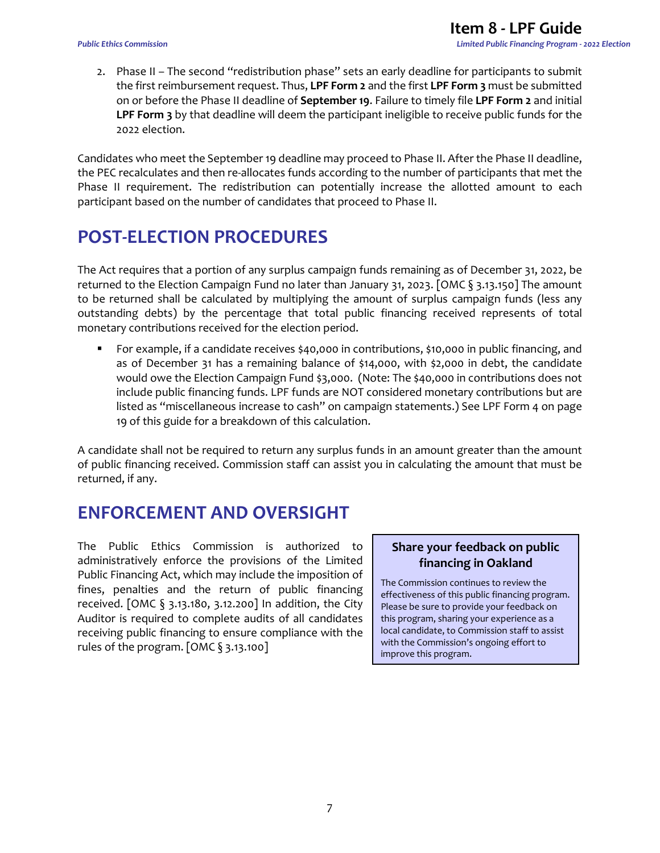2. Phase II – The second "redistribution phase" sets an early deadline for participants to submit the first reimbursement request. Thus, **LPF Form 2** and the first **LPF Form 3** must be submitted on or before the Phase II deadline of **September 19**. Failure to timely file **LPF Form 2** and initial **LPF Form 3** by that deadline will deem the participant ineligible to receive public funds for the 2022 election.

Candidates who meet the September 19 deadline may proceed to Phase II. After the Phase II deadline, the PEC recalculates and then re-allocates funds according to the number of participants that met the Phase II requirement. The redistribution can potentially increase the allotted amount to each participant based on the number of candidates that proceed to Phase II.

### <span id="page-7-0"></span>**POST-ELECTION PROCEDURES**

The Act requires that a portion of any surplus campaign funds remaining as of December 31, 2022, be returned to the Election Campaign Fund no later than January 31, 2023. [OMC § 3.13.150] The amount to be returned shall be calculated by multiplying the amount of surplus campaign funds (less any outstanding debts) by the percentage that total public financing received represents of total monetary contributions received for the election period.

 For example, if a candidate receives \$40,000 in contributions, \$10,000 in public financing, and as of December 31 has a remaining balance of \$14,000, with \$2,000 in debt, the candidate would owe the Election Campaign Fund \$3,000. (Note: The \$40,000 in contributions does not include public financing funds. LPF funds are NOT considered monetary contributions but are listed as "miscellaneous increase to cash" on campaign statements.) See LPF Form 4 on page 19 of this guide for a breakdown of this calculation.

A candidate shall not be required to return any surplus funds in an amount greater than the amount of public financing received. Commission staff can assist you in calculating the amount that must be returned, if any.

### <span id="page-7-1"></span>**ENFORCEMENT AND OVERSIGHT**

The Public Ethics Commission is authorized to administratively enforce the provisions of the Limited Public Financing Act, which may include the imposition of fines, penalties and the return of public financing received. [OMC § 3.13.180, 3.12.200] In addition, the City Auditor is required to complete audits of all candidates receiving public financing to ensure compliance with the rules of the program. [OMC § 3.13.100]

### **Share your feedback on public financing in Oakland**

The Commission continues to review the effectiveness of this public financing program. Please be sure to provide your feedback on this program, sharing your experience as a local candidate, to Commission staff to assist with the Commission's ongoing effort to improve this program.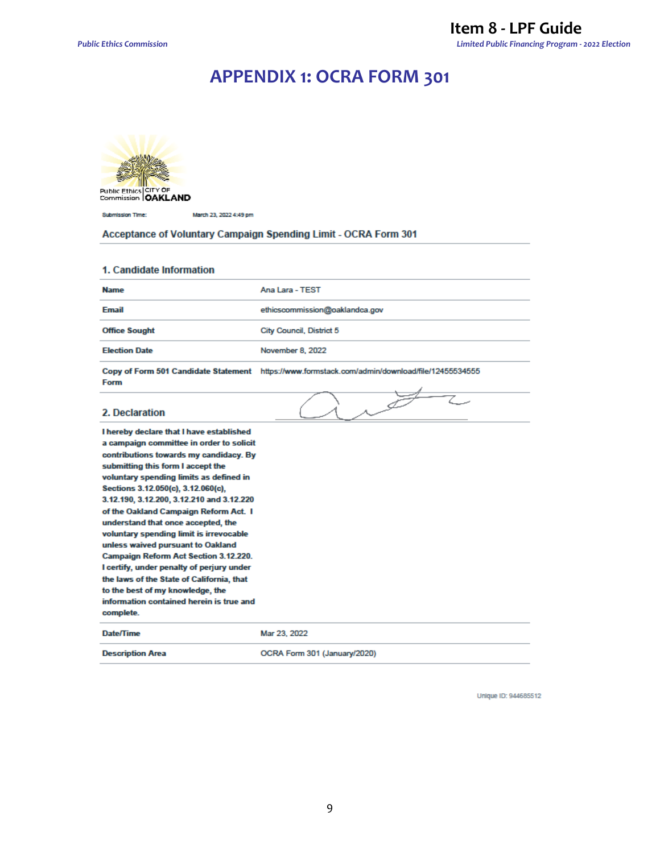### **APPENDIX 1: OCRA FORM 301**

<span id="page-9-0"></span>

Public Ethics CITY OF<br>Commission **OAKLAND** 

Submission Time: March 23, 2022 4:49 pm

Acceptance of Voluntary Campaign Spending Limit - OCRA Form 301

#### 1. Candidate Information

| <b>Name</b>                                                                                                                                                                                                                                                                                                                                                                                                                                                                                                                                                                                                                                                                                             | Ana Lara - TEST                                                                                |
|---------------------------------------------------------------------------------------------------------------------------------------------------------------------------------------------------------------------------------------------------------------------------------------------------------------------------------------------------------------------------------------------------------------------------------------------------------------------------------------------------------------------------------------------------------------------------------------------------------------------------------------------------------------------------------------------------------|------------------------------------------------------------------------------------------------|
| <b>Email</b>                                                                                                                                                                                                                                                                                                                                                                                                                                                                                                                                                                                                                                                                                            | ethicscommission@oaklandca.gov                                                                 |
| <b>Office Sought</b>                                                                                                                                                                                                                                                                                                                                                                                                                                                                                                                                                                                                                                                                                    | City Council, District 5                                                                       |
| <b>Election Date</b>                                                                                                                                                                                                                                                                                                                                                                                                                                                                                                                                                                                                                                                                                    | November 8, 2022                                                                               |
| Form                                                                                                                                                                                                                                                                                                                                                                                                                                                                                                                                                                                                                                                                                                    | Copy of Form 501 Candidate Statement https://www.formstack.com/admin/download/file/12455534555 |
| 2. Declaration                                                                                                                                                                                                                                                                                                                                                                                                                                                                                                                                                                                                                                                                                          |                                                                                                |
| I hereby declare that I have established<br>a campaign committee in order to solicit<br>contributions towards my candidacy. By<br>submitting this form I accept the<br>voluntary spending limits as defined in<br>Sections 3.12.050(c), 3.12.060(c),<br>3.12.190, 3.12.200, 3.12.210 and 3.12.220<br>of the Oakland Campaign Reform Act. I<br>understand that once accepted, the<br>voluntary spending limit is irrevocable<br>unless waived pursuant to Oakland<br><b>Campaign Reform Act Section 3.12.220.</b><br>I certify, under penalty of perjury under<br>the laws of the State of California, that<br>to the best of my knowledge, the<br>information contained herein is true and<br>complete. |                                                                                                |
| Date/Time                                                                                                                                                                                                                                                                                                                                                                                                                                                                                                                                                                                                                                                                                               | Mar 23, 2022                                                                                   |
| <b>Description Area</b>                                                                                                                                                                                                                                                                                                                                                                                                                                                                                                                                                                                                                                                                                 | OCRA Form 301 (January/2020)                                                                   |

Unique ID: 944685512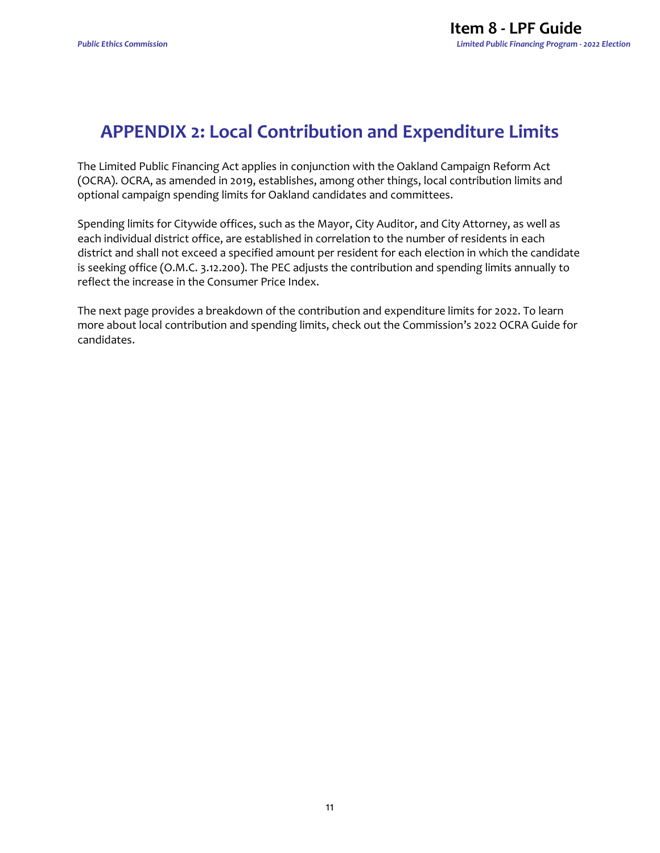### <span id="page-11-0"></span>**APPENDIX 2: Local Contribution and Expenditure Limits**

The Limited Public Financing Act applies in conjunction with the Oakland Campaign Reform Act (OCRA). OCRA, as amended in 2019, establishes, among other things, local contribution limits and optional campaign spending limits for Oakland candidates and committees.

Spending limits for Citywide offices, such as the Mayor, City Auditor, and City Attorney, as well as each individual district office, are established in correlation to the number of residents in each district and shall not exceed a specified amount per resident for each election in which the candidate is seeking office (O.M.C. 3.12.200). The PEC adjusts the contribution and spending limits annually to reflect the increase in the Consumer Price Index.

The next page provides a breakdown of the contribution and expenditure limits for 2022. To learn more about local contribution and spending limits, check out the Commission's 2022 OCRA Guide for candidates.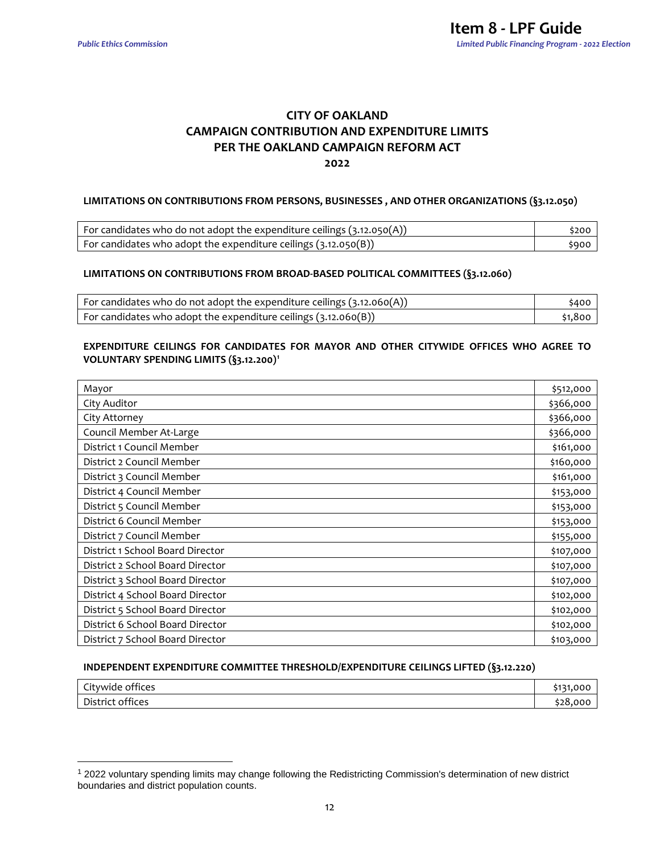$\overline{a}$ 

#### **CITY OF OAKLAND CAMPAIGN CONTRIBUTION AND EXPENDITURE LIMITS PER THE OAKLAND CAMPAIGN REFORM ACT 2022**

#### **LIMITATIONS ON CONTRIBUTIONS FROM PERSONS, BUSINESSES , AND OTHER ORGANIZATIONS (§3.12.050)**

| For candidates who do not adopt the expenditure ceilings $(3.12.050(A))$ | \$200 |
|--------------------------------------------------------------------------|-------|
| For candidates who adopt the expenditure ceilings $(3.12.050(B))$        | \$900 |

#### **LIMITATIONS ON CONTRIBUTIONS FROM BROAD-BASED POLITICAL COMMITTEES (§3.12.060)**

| For candidates who do not adopt the expenditure ceilings $(3.12.060(A))$ |           |
|--------------------------------------------------------------------------|-----------|
| For candidates who adopt the expenditure ceilings $(3.12.060(B))$        | \$1.800 l |

#### **EXPENDITURE CEILINGS FOR CANDIDATES FOR MAYOR AND OTHER CITYWIDE OFFICES WHO AGREE TO VOLUNTARY SPENDING LIMITS (§3.12.200)[1](#page-12-0)**

| Mayor                            | \$512,000 |
|----------------------------------|-----------|
| City Auditor                     | \$366,000 |
| City Attorney                    | \$366,000 |
| Council Member At-Large          | \$366,000 |
| District 1 Council Member        | \$161,000 |
| District 2 Council Member        | \$160,000 |
| District 3 Council Member        | \$161,000 |
| District 4 Council Member        | \$153,000 |
| District 5 Council Member        | \$153,000 |
| District 6 Council Member        | \$153,000 |
| District 7 Council Member        | \$155,000 |
| District 1 School Board Director | \$107,000 |
| District 2 School Board Director | \$107,000 |
| District 3 School Board Director | \$107,000 |
| District 4 School Board Director | \$102,000 |
| District 5 School Board Director | \$102,000 |
| District 6 School Board Director | \$102,000 |
| District 7 School Board Director | \$103,000 |

#### **INDEPENDENT EXPENDITURE COMMITTEE THRESHOLD/EXPENDITURE CEILINGS LIFTED (§3.12.220)**

| $\overline{\phantom{a}}$<br><sup>-it</sup> ywide u.<br>offices | $-1 - 1$<br>റററ |
|----------------------------------------------------------------|-----------------|
| .                                                              | $-28$           |
| District                                                       | ،00             |
| offices                                                        | ∍∠o.            |

<span id="page-12-0"></span><sup>1</sup> 2022 voluntary spending limits may change following the Redistricting Commission's determination of new district boundaries and district population counts.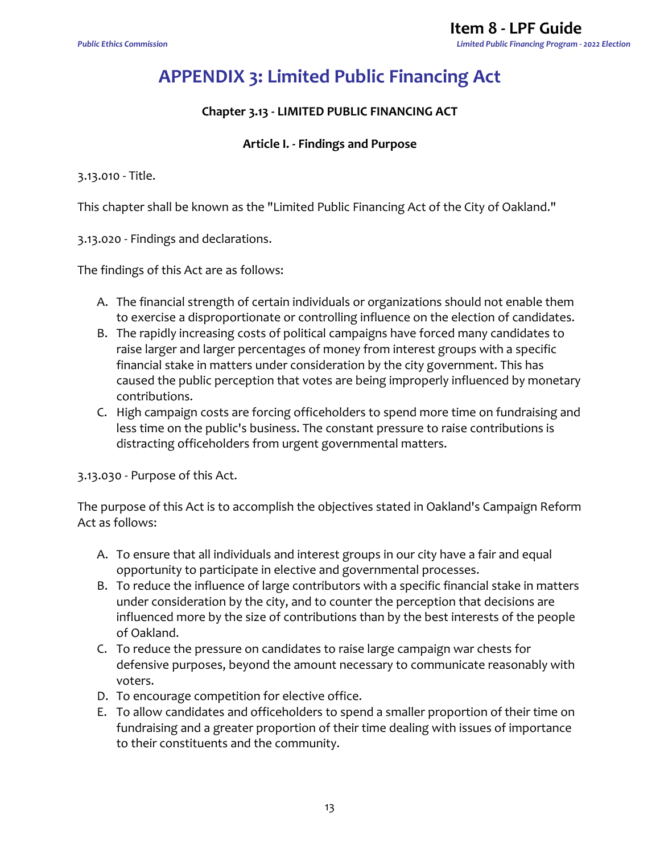# <span id="page-13-0"></span>**APPENDIX 3: Limited Public Financing Act**

### **Chapter 3.13 - LIMITED PUBLIC FINANCING ACT**

#### **Article I. - Findings and Purpose**

3.13.010 - Title.

This chapter shall be known as the "Limited Public Financing Act of the City of Oakland."

3.13.020 - Findings and declarations.

The findings of this Act are as follows:

- A. The financial strength of certain individuals or organizations should not enable them to exercise a disproportionate or controlling influence on the election of candidates.
- B. The rapidly increasing costs of political campaigns have forced many candidates to raise larger and larger percentages of money from interest groups with a specific financial stake in matters under consideration by the city government. This has caused the public perception that votes are being improperly influenced by monetary contributions.
- C. High campaign costs are forcing officeholders to spend more time on fundraising and less time on the public's business. The constant pressure to raise contributions is distracting officeholders from urgent governmental matters.

3.13.030 - Purpose of this Act.

The purpose of this Act is to accomplish the objectives stated in Oakland's Campaign Reform Act as follows:

- A. To ensure that all individuals and interest groups in our city have a fair and equal opportunity to participate in elective and governmental processes.
- B. To reduce the influence of large contributors with a specific financial stake in matters under consideration by the city, and to counter the perception that decisions are influenced more by the size of contributions than by the best interests of the people of Oakland.
- C. To reduce the pressure on candidates to raise large campaign war chests for defensive purposes, beyond the amount necessary to communicate reasonably with voters.
- D. To encourage competition for elective office.
- E. To allow candidates and officeholders to spend a smaller proportion of their time on fundraising and a greater proportion of their time dealing with issues of importance to their constituents and the community.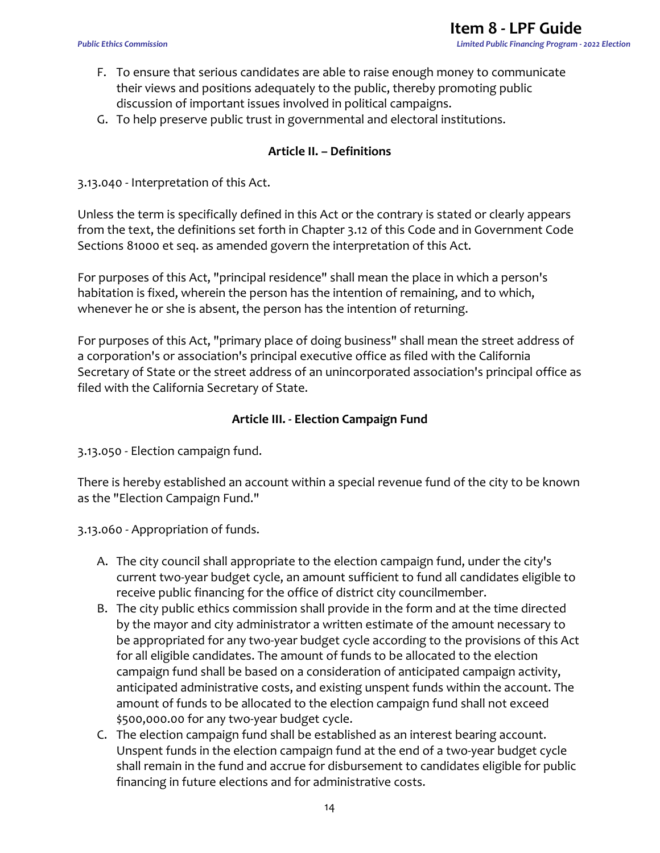- F. To ensure that serious candidates are able to raise enough money to communicate their views and positions adequately to the public, thereby promoting public discussion of important issues involved in political campaigns.
- G. To help preserve public trust in governmental and electoral institutions.

#### **Article II. – Definitions**

#### 3.13.040 - Interpretation of this Act.

Unless the term is specifically defined in this Act or the contrary is stated or clearly appears from the text, the definitions set forth in Chapter 3.12 of this Code and in Government Code Sections 81000 et seq. as amended govern the interpretation of this Act.

For purposes of this Act, "principal residence" shall mean the place in which a person's habitation is fixed, wherein the person has the intention of remaining, and to which, whenever he or she is absent, the person has the intention of returning.

For purposes of this Act, "primary place of doing business" shall mean the street address of a corporation's or association's principal executive office as filed with the California Secretary of State or the street address of an unincorporated association's principal office as filed with the California Secretary of State.

#### **Article III. - Election Campaign Fund**

3.13.050 - Election campaign fund.

There is hereby established an account within a special revenue fund of the city to be known as the "Election Campaign Fund."

3.13.060 - Appropriation of funds.

- A. The city council shall appropriate to the election campaign fund, under the city's current two-year budget cycle, an amount sufficient to fund all candidates eligible to receive public financing for the office of district city councilmember.
- B. The city public ethics commission shall provide in the form and at the time directed by the mayor and city administrator a written estimate of the amount necessary to be appropriated for any two-year budget cycle according to the provisions of this Act for all eligible candidates. The amount of funds to be allocated to the election campaign fund shall be based on a consideration of anticipated campaign activity, anticipated administrative costs, and existing unspent funds within the account. The amount of funds to be allocated to the election campaign fund shall not exceed \$500,000.00 for any two-year budget cycle.
- C. The election campaign fund shall be established as an interest bearing account. Unspent funds in the election campaign fund at the end of a two-year budget cycle shall remain in the fund and accrue for disbursement to candidates eligible for public financing in future elections and for administrative costs.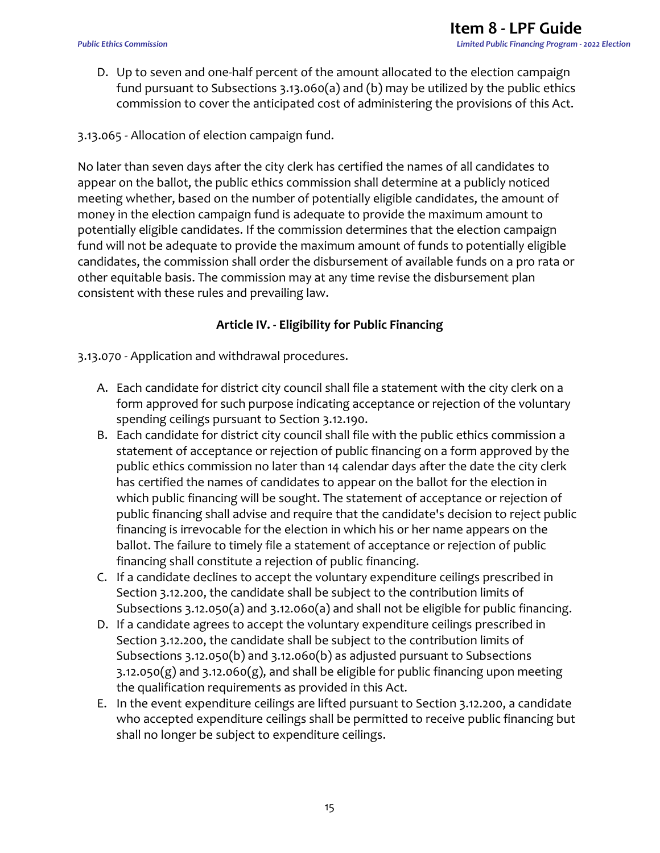- D. Up to seven and one-half percent of the amount allocated to the election campaign fund pursuant to Subsections 3.13.060(a) and (b) may be utilized by the public ethics commission to cover the anticipated cost of administering the provisions of this Act.
- 3.13.065 Allocation of election campaign fund.

No later than seven days after the city clerk has certified the names of all candidates to appear on the ballot, the public ethics commission shall determine at a publicly noticed meeting whether, based on the number of potentially eligible candidates, the amount of money in the election campaign fund is adequate to provide the maximum amount to potentially eligible candidates. If the commission determines that the election campaign fund will not be adequate to provide the maximum amount of funds to potentially eligible candidates, the commission shall order the disbursement of available funds on a pro rata or other equitable basis. The commission may at any time revise the disbursement plan consistent with these rules and prevailing law.

### **Article IV. - Eligibility for Public Financing**

3.13.070 - Application and withdrawal procedures.

- A. Each candidate for district city council shall file a statement with the city clerk on a form approved for such purpose indicating acceptance or rejection of the voluntary spending ceilings pursuant to Section 3.12.190.
- B. Each candidate for district city council shall file with the public ethics commission a statement of acceptance or rejection of public financing on a form approved by the public ethics commission no later than 14 calendar days after the date the city clerk has certified the names of candidates to appear on the ballot for the election in which public financing will be sought. The statement of acceptance or rejection of public financing shall advise and require that the candidate's decision to reject public financing is irrevocable for the election in which his or her name appears on the ballot. The failure to timely file a statement of acceptance or rejection of public financing shall constitute a rejection of public financing.
- C. If a candidate declines to accept the voluntary expenditure ceilings prescribed in Section 3.12.200, the candidate shall be subject to the contribution limits of Subsections 3.12.050(a) and 3.12.060(a) and shall not be eligible for public financing.
- D. If a candidate agrees to accept the voluntary expenditure ceilings prescribed in Section 3.12.200, the candidate shall be subject to the contribution limits of Subsections 3.12.050(b) and 3.12.060(b) as adjusted pursuant to Subsections  $3.12.050(g)$  and  $3.12.060(g)$ , and shall be eligible for public financing upon meeting the qualification requirements as provided in this Act.
- E. In the event expenditure ceilings are lifted pursuant to Section 3.12.200, a candidate who accepted expenditure ceilings shall be permitted to receive public financing but shall no longer be subject to expenditure ceilings.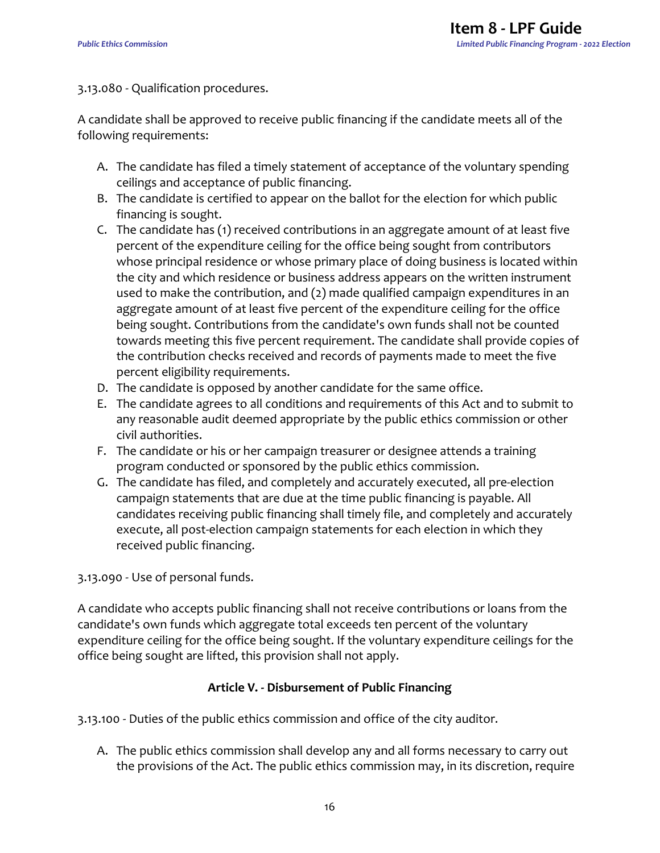#### 3.13.080 - Qualification procedures.

A candidate shall be approved to receive public financing if the candidate meets all of the following requirements:

- A. The candidate has filed a timely statement of acceptance of the voluntary spending ceilings and acceptance of public financing.
- B. The candidate is certified to appear on the ballot for the election for which public financing is sought.
- C. The candidate has (1) received contributions in an aggregate amount of at least five percent of the expenditure ceiling for the office being sought from contributors whose principal residence or whose primary place of doing business is located within the city and which residence or business address appears on the written instrument used to make the contribution, and (2) made qualified campaign expenditures in an aggregate amount of at least five percent of the expenditure ceiling for the office being sought. Contributions from the candidate's own funds shall not be counted towards meeting this five percent requirement. The candidate shall provide copies of the contribution checks received and records of payments made to meet the five percent eligibility requirements.
- D. The candidate is opposed by another candidate for the same office.
- E. The candidate agrees to all conditions and requirements of this Act and to submit to any reasonable audit deemed appropriate by the public ethics commission or other civil authorities.
- F. The candidate or his or her campaign treasurer or designee attends a training program conducted or sponsored by the public ethics commission.
- G. The candidate has filed, and completely and accurately executed, all pre-election campaign statements that are due at the time public financing is payable. All candidates receiving public financing shall timely file, and completely and accurately execute, all post-election campaign statements for each election in which they received public financing.

3.13.090 - Use of personal funds.

A candidate who accepts public financing shall not receive contributions or loans from the candidate's own funds which aggregate total exceeds ten percent of the voluntary expenditure ceiling for the office being sought. If the voluntary expenditure ceilings for the office being sought are lifted, this provision shall not apply.

### **Article V. - Disbursement of Public Financing**

3.13.100 - Duties of the public ethics commission and office of the city auditor.

A. The public ethics commission shall develop any and all forms necessary to carry out the provisions of the Act. The public ethics commission may, in its discretion, require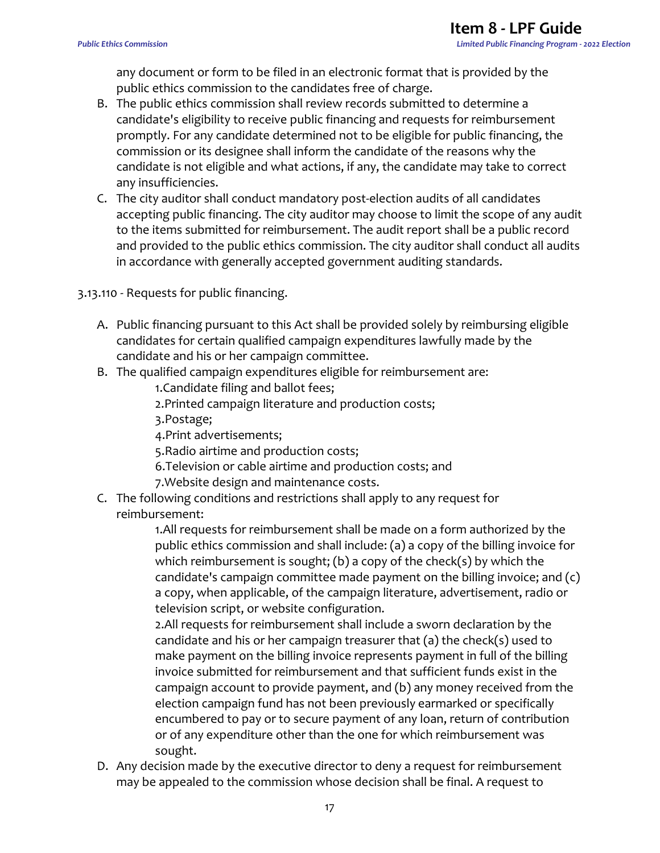any document or form to be filed in an electronic format that is provided by the public ethics commission to the candidates free of charge.

- B. The public ethics commission shall review records submitted to determine a candidate's eligibility to receive public financing and requests for reimbursement promptly. For any candidate determined not to be eligible for public financing, the commission or its designee shall inform the candidate of the reasons why the candidate is not eligible and what actions, if any, the candidate may take to correct any insufficiencies.
- C. The city auditor shall conduct mandatory post-election audits of all candidates accepting public financing. The city auditor may choose to limit the scope of any audit to the items submitted for reimbursement. The audit report shall be a public record and provided to the public ethics commission. The city auditor shall conduct all audits in accordance with generally accepted government auditing standards.

3.13.110 - Requests for public financing.

- A. Public financing pursuant to this Act shall be provided solely by reimbursing eligible candidates for certain qualified campaign expenditures lawfully made by the candidate and his or her campaign committee.
- B. The qualified campaign expenditures eligible for reimbursement are:
	- 1.Candidate filing and ballot fees;
	- 2.Printed campaign literature and production costs;
	- 3.Postage;
	- 4.Print advertisements;
	- 5.Radio airtime and production costs;
	- 6.Television or cable airtime and production costs; and
	- 7.Website design and maintenance costs.
- C. The following conditions and restrictions shall apply to any request for reimbursement:

1.All requests for reimbursement shall be made on a form authorized by the public ethics commission and shall include: (a) a copy of the billing invoice for which reimbursement is sought; (b) a copy of the check(s) by which the candidate's campaign committee made payment on the billing invoice; and (c) a copy, when applicable, of the campaign literature, advertisement, radio or television script, or website configuration.

2.All requests for reimbursement shall include a sworn declaration by the candidate and his or her campaign treasurer that (a) the check(s) used to make payment on the billing invoice represents payment in full of the billing invoice submitted for reimbursement and that sufficient funds exist in the campaign account to provide payment, and (b) any money received from the election campaign fund has not been previously earmarked or specifically encumbered to pay or to secure payment of any loan, return of contribution or of any expenditure other than the one for which reimbursement was sought.

D. Any decision made by the executive director to deny a request for reimbursement may be appealed to the commission whose decision shall be final. A request to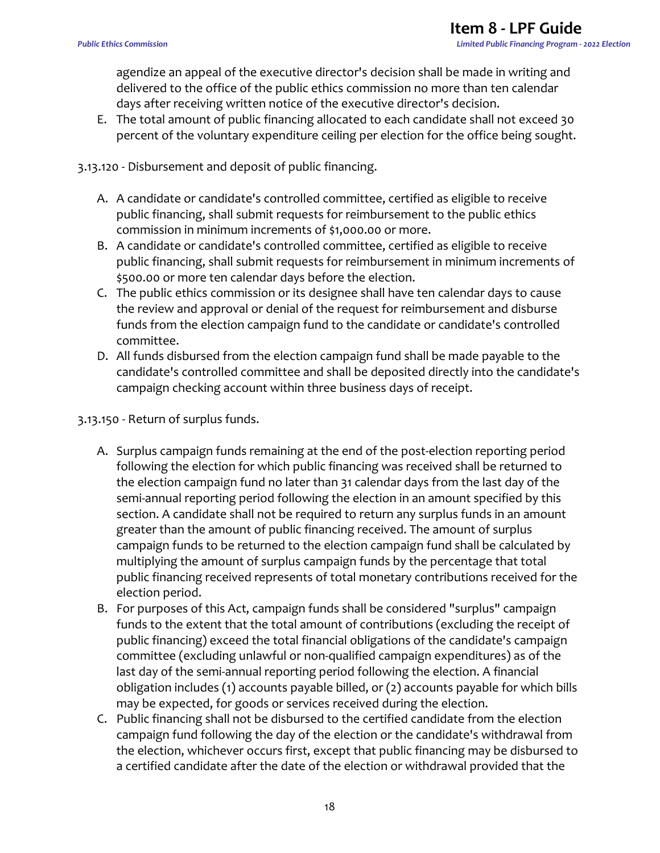agendize an appeal of the executive director's decision shall be made in writing and delivered to the office of the public ethics commission no more than ten calendar days after receiving written notice of the executive director's decision.

E. The total amount of public financing allocated to each candidate shall not exceed 30 percent of the voluntary expenditure ceiling per election for the office being sought.

3.13.120 - Disbursement and deposit of public financing.

- A. A candidate or candidate's controlled committee, certified as eligible to receive public financing, shall submit requests for reimbursement to the public ethics commission in minimum increments of \$1,000.00 or more.
- B. A candidate or candidate's controlled committee, certified as eligible to receive public financing, shall submit requests for reimbursement in minimum increments of \$500.00 or more ten calendar days before the election.
- C. The public ethics commission or its designee shall have ten calendar days to cause the review and approval or denial of the request for reimbursement and disburse funds from the election campaign fund to the candidate or candidate's controlled committee.
- D. All funds disbursed from the election campaign fund shall be made payable to the candidate's controlled committee and shall be deposited directly into the candidate's campaign checking account within three business days of receipt.

3.13.150 - Return of surplus funds.

- A. Surplus campaign funds remaining at the end of the post-election reporting period following the election for which public financing was received shall be returned to the election campaign fund no later than 31 calendar days from the last day of the semi-annual reporting period following the election in an amount specified by this section. A candidate shall not be required to return any surplus funds in an amount greater than the amount of public financing received. The amount of surplus campaign funds to be returned to the election campaign fund shall be calculated by multiplying the amount of surplus campaign funds by the percentage that total public financing received represents of total monetary contributions received for the election period.
- B. For purposes of this Act, campaign funds shall be considered "surplus" campaign funds to the extent that the total amount of contributions (excluding the receipt of public financing) exceed the total financial obligations of the candidate's campaign committee (excluding unlawful or non-qualified campaign expenditures) as of the last day of the semi-annual reporting period following the election. A financial obligation includes (1) accounts payable billed, or (2) accounts payable for which bills may be expected, for goods or services received during the election.
- C. Public financing shall not be disbursed to the certified candidate from the election campaign fund following the day of the election or the candidate's withdrawal from the election, whichever occurs first, except that public financing may be disbursed to a certified candidate after the date of the election or withdrawal provided that the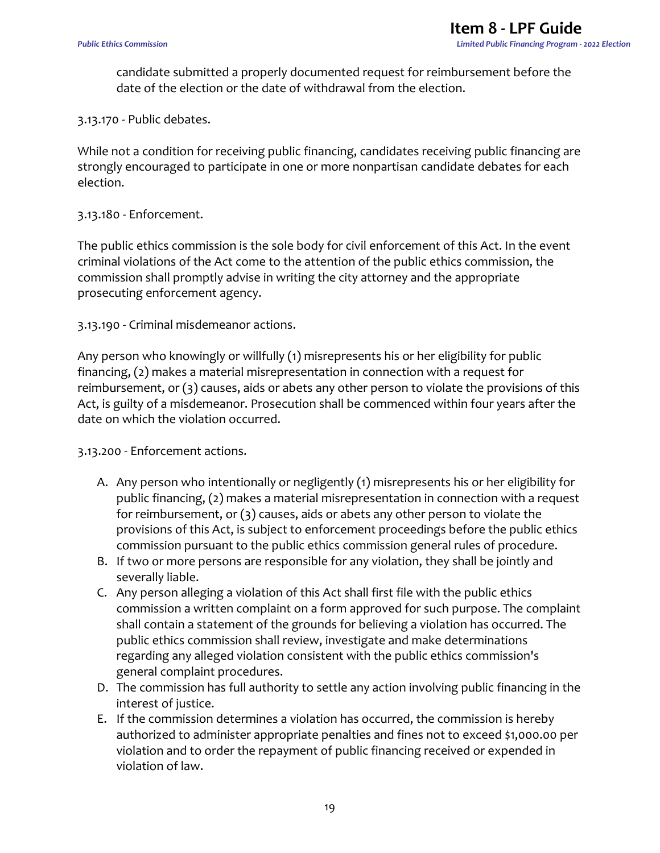candidate submitted a properly documented request for reimbursement before the date of the election or the date of withdrawal from the election.

3.13.170 - Public debates.

While not a condition for receiving public financing, candidates receiving public financing are strongly encouraged to participate in one or more nonpartisan candidate debates for each election.

#### 3.13.180 - Enforcement.

The public ethics commission is the sole body for civil enforcement of this Act. In the event criminal violations of the Act come to the attention of the public ethics commission, the commission shall promptly advise in writing the city attorney and the appropriate prosecuting enforcement agency.

3.13.190 - Criminal misdemeanor actions.

Any person who knowingly or willfully (1) misrepresents his or her eligibility for public financing, (2) makes a material misrepresentation in connection with a request for reimbursement, or (3) causes, aids or abets any other person to violate the provisions of this Act, is guilty of a misdemeanor. Prosecution shall be commenced within four years after the date on which the violation occurred.

3.13.200 - Enforcement actions.

- A. Any person who intentionally or negligently (1) misrepresents his or her eligibility for public financing, (2) makes a material misrepresentation in connection with a request for reimbursement, or (3) causes, aids or abets any other person to violate the provisions of this Act, is subject to enforcement proceedings before the public ethics commission pursuant to the public ethics commission general rules of procedure.
- B. If two or more persons are responsible for any violation, they shall be jointly and severally liable.
- C. Any person alleging a violation of this Act shall first file with the public ethics commission a written complaint on a form approved for such purpose. The complaint shall contain a statement of the grounds for believing a violation has occurred. The public ethics commission shall review, investigate and make determinations regarding any alleged violation consistent with the public ethics commission's general complaint procedures.
- D. The commission has full authority to settle any action involving public financing in the interest of justice.
- E. If the commission determines a violation has occurred, the commission is hereby authorized to administer appropriate penalties and fines not to exceed \$1,000.00 per violation and to order the repayment of public financing received or expended in violation of law.